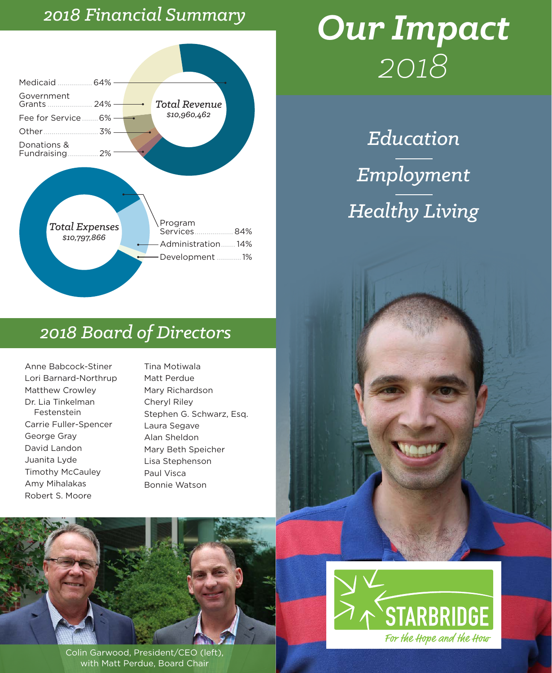#### *2018 Financial Summary*



# *Our Impact 2018*

*Education Employment Healthy Living*

#### *2018 Board of Directors*

Anne Babcock-Stiner Lori Barnard-Northrup Matthew Crowley Dr. Lia Tinkelman Festenstein Carrie Fuller-Spencer George Gray David Landon Juanita Lyde Timothy McCauley Amy Mihalakas Robert S. Moore

Tina Motiwala Matt Perdue Mary Richardson Cheryl Riley Stephen G. Schwarz, Esq. Laura Segave Alan Sheldon Mary Beth Speicher Lisa Stephenson Paul Visca Bonnie Watson



Colin Garwood, President/CEO (left), with Matt Perdue, Board Chair